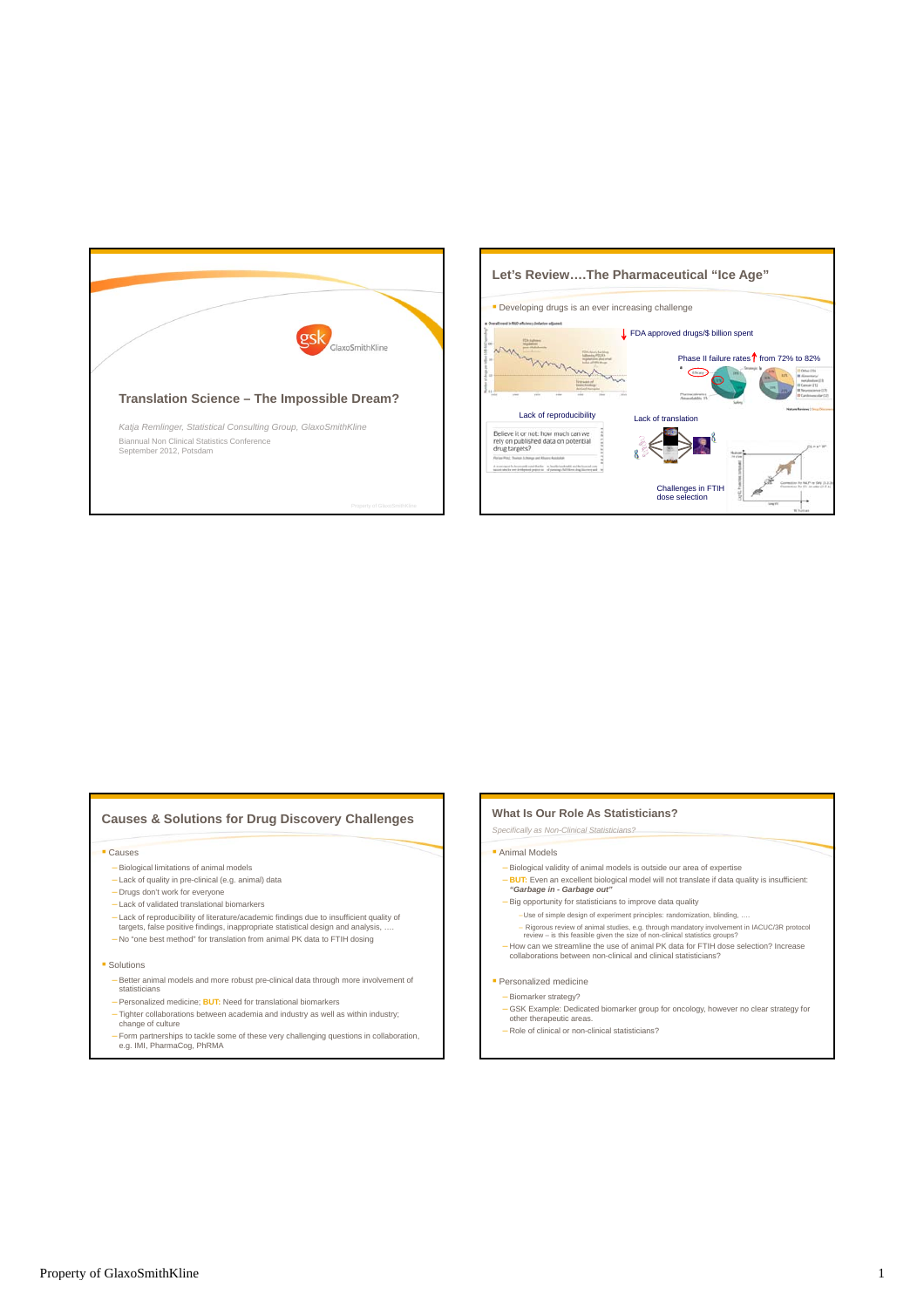



# **Causes & Solutions for Drug Discovery Challenges**

#### Causes

- Biological limitations of animal models
- Lack of quality in pre-clinical (e.g. animal) data
- Drugs don't work for everyone
- Lack of validated translational biomarkers
- Lack of reproducibility of literature/academic findings due to insufficient quality of targets, false positive findings, inappropriate statistical design and analysis, ….
- No "one best method" for translation from animal PK data to FTIH dosing
- **Solutions** 
	- Better animal models and more robust pre-clinical data through more involvement of statisticians
	- Personalized medicine; **BUT:** Need for translational biomarkers
	- Tighter collaborations between academia and industry as well as within industry; change of culture
	- Form partnerships to tackle some of these very challenging questions in collaboration, e.g. IMI, PharmaCog, PhRMA

### **What Is Our Role As Statisticians?**

*Specifically as Non-Clinical Statisticians?*

### **Animal Models**

- Biological validity of animal models is outside our area of expertise
- **BUT:** Even an excellent biological model will not translate if data quality is insufficient: *"Garbage in Garbage out"*
- Big opportunity for statisticians to improve data quality
- –Use of simple design of experiment principles: randomization, blinding, ….
- Rigorous review of animal studies, e.g. through mandatory involvement in IACUC/3R protocol<br>review is this feasible given the size of non-clinical statistics groups?<br>- How can we streamline the use of animal PK data for
- 

## **Personalized medicine**

- Biomarker strategy?
- GSK Example: Dedicated biomarker group for oncology, however no clear strategy for other therapeutic areas.
- Role of clinical or non-clinical statisticians?